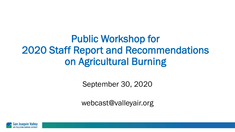Public Workshop for 2020 Staff Report and Recommendations on Agricultural Burning

September 30, 2020

webcast@valleyair.org

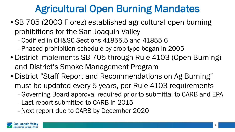# Agricultural Open Burning Mandates

- SB 705 (2003 Florez) established agricultural open burning prohibitions for the San Joaquin Valley
	- –Codified in CH&SC Sections 41855.5 and 41855.6
	- –Phased prohibition schedule by crop type began in 2005
- District implements SB 705 through Rule 4103 (Open Burning) and District's Smoke Management Program
- District "Staff Report and Recommendations on Ag Burning" must be updated every 5 years, per Rule 4103 requirements
	- –Governing Board approval required prior to submittal to CARB and EPA
	- –Last report submitted to CARB in 2015
	- –Next report due to CARB by December 2020

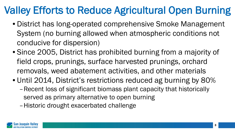### Valley Efforts to Reduce Agricultural Open Burning

- District has long-operated comprehensive Smoke Management System (no burning allowed when atmospheric conditions not conducive for dispersion)
- Since 2005, District has prohibited burning from a majority of field crops, prunings, surface harvested prunings, orchard removals, weed abatement activities, and other materials
- Until 2014, District's restrictions reduced ag burning by 80%
	- –Recent loss of significant biomass plant capacity that historically served as primary alternative to open burning
	- –Historic drought exacerbated challenge

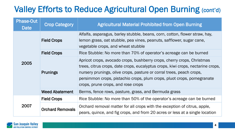#### Valley Efforts to Reduce Agricultural Open Burning (cont'd)

| <b>Phase-Out</b><br><b>Date</b> | <b>Crop Category</b>    | <b>Agricultural Material Prohibited from Open Burning</b>                                                                                                                                                                                                                                                                                         |  |
|---------------------------------|-------------------------|---------------------------------------------------------------------------------------------------------------------------------------------------------------------------------------------------------------------------------------------------------------------------------------------------------------------------------------------------|--|
| 2005                            | <b>Field Crops</b>      | Alfalfa, asparagus, barley stubble, beans, corn, cotton, flower straw, hay,<br>lemon grass, oat stubble, pea vines, peanuts, safflower, sugar cane,<br>vegetable crops, and wheat stubble                                                                                                                                                         |  |
|                                 | <b>Field Crops</b>      | Rice Stubble: No more than 70% of operator's acreage can be burned                                                                                                                                                                                                                                                                                |  |
|                                 | <b>Prunings</b>         | Apricot crops, avocado crops, bushberry crops, cherry crops, Christmas<br>trees, citrus crops, date crops, eucalyptus crops, kiwi crops, nectarine crops,<br>nursery prunings, olive crops, pasture or corral trees, peach crops,<br>persimmon crops, pistachio crops, plum crops, pluot crops, pomegranate<br>crops, prune crops, and rose crops |  |
|                                 | <b>Weed Abatement</b>   | Berms, fence rows, pasture, grass, and Bermuda grass                                                                                                                                                                                                                                                                                              |  |
| 2007                            | <b>Field Crops</b>      | Rice Stubble: No more than 50% of the operator's acreage can be burned                                                                                                                                                                                                                                                                            |  |
|                                 | <b>Orchard Removals</b> | Orchard removal matter for all crops with the exception of citrus, apple,<br>pears, quince, and fig crops, and from 20 acres or less at a single location                                                                                                                                                                                         |  |

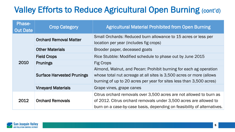#### Valley Efforts to Reduce Agricultural Open Burning (cont'd)

| <b>Phase-</b><br><b>Out Date</b> | <b>Crop Category</b>              | <b>Agricultural Material Prohibited from Open Burning</b>                                                                                                                                                           |  |
|----------------------------------|-----------------------------------|---------------------------------------------------------------------------------------------------------------------------------------------------------------------------------------------------------------------|--|
|                                  | <b>Orchard Removal Matter</b>     | Small Orchards: Reduced burn allowance to 15 acres or less per<br>location per year (includes fig crops)                                                                                                            |  |
| 2010                             | <b>Other Materials</b>            | Brooder paper, deceased goats                                                                                                                                                                                       |  |
|                                  | <b>Field Crops</b>                | Rice Stubble: Modified schedule to phase out by June 2015                                                                                                                                                           |  |
|                                  | <b>Prunings</b>                   | <b>Fig Crops</b>                                                                                                                                                                                                    |  |
|                                  | <b>Surface Harvested Prunings</b> | Almond, Walnut, and Pecan: Prohibit burning for each ag operation<br>whose total nut acreage at all sites is 3,500 acres or more (allows<br>burning of up to 20 acres per year for sites less than 3,500 acres)     |  |
|                                  | <b>Vineyard Materials</b>         | Grape vines, grape canes                                                                                                                                                                                            |  |
| 2012                             | <b>Orchard Removals</b>           | Citrus orchard removals over 3,500 acres are not allowed to burn as<br>of 2012. Citrus orchard removals under 3,500 acres are allowed to<br>burn on a case-by-case basis, depending on feasibility of alternatives. |  |

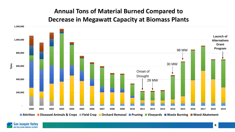#### **Annual Tons of Material Burned Compared to Decrease in Megawatt Capacity at Biomass Plants**



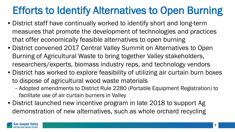# Efforts to Identify Alternatives to Open Burning

- District staff have continually worked to identify short and long-term measures that promote the development of technologies and practices that offer economically feasible alternatives to open burning
- District convened 2017 Central Valley Summit on Alternatives to Open Burning of Agricultural Waste to bring together Valley stakeholders, researchers/experts, biomass industry reps, and technology vendors
- District has worked to explore feasibility of utilizing air curtain burn boxes to dispose of agricultural wood waste materials
	- Adopted amendments to District Rule 2280 (Portable Equipment Registration) to facilitate use of air curtain burners in Valley
- District launched new incentive program in late 2018 to support Ag demonstration of new alternatives, such as whole orchard recycling

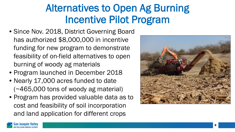## Alternatives to Open Ag Burning Incentive Pilot Program

- Since Nov. 2018, District Governing Board has authorized \$8,000,000 in incentive funding for new program to demonstrate feasibility of on-field alternatives to open burning of woody ag materials
- Program launched in December 2018
- Nearly 17,000 acres funded to date (~465,000 tons of woody ag material)
- Program has provided valuable data as to cost and feasibility of soil incorporation and land application for different crops



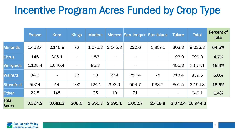#### Incentive Program Acres Funded by Crop Type

|                              | <b>Fresno</b> | Kern    | Kings                    | <b>Madera</b> |         | <b>Merced San Joaquin Stanislaus</b> |                | <b>Tulare</b> | <b>Total</b>     | <b>Percent of</b><br><b>Total</b> |
|------------------------------|---------------|---------|--------------------------|---------------|---------|--------------------------------------|----------------|---------------|------------------|-----------------------------------|
| <b>Almonds</b>               | 1,458.4       | 2,145.8 | 76                       | 1,075.3       | 2,145.8 | 220.6                                | 1,807.1        | 303.3         | 9,232.3          | 54.5%                             |
| <b>Citrus</b>                | 146           | 306.1   | $\overline{\phantom{a}}$ | 153           |         | $\overline{\phantom{a}}$             | $\equiv$       | 193.9         | 799.0            | 4.7%                              |
| <b>Vineyards</b>             | 1,105.4       | 1,040.4 | $\overline{\phantom{a}}$ | 85.3          |         |                                      | $\blacksquare$ | 455.3         | 2,677.1          | 15.9%                             |
| <b>Walnuts</b>               | 34.3          |         | 32                       | 93            | 27.4    | 256.4                                | 78             | 318.4         | 839.5            | 5.0%                              |
| <b>Stonefruit</b>            | 597.4         | 44      | 100                      | 124.1         | 398.9   | 554.7                                | 533.7          | 801.5         | 3,154.3          | 18.6%                             |
| <b>Other</b>                 | 22.8          | 145     | $\overline{\phantom{a}}$ | 25            | 19      | 21                                   |                |               | 242.1            | 1.4%                              |
| <b>Total</b><br><b>Acres</b> | 3,364.2       | 3,681.3 | 208.0                    | 1,555.7       | 2,591.1 | 1,052.7                              | 2,418.8        |               | 2,072.4 16,944.3 |                                   |

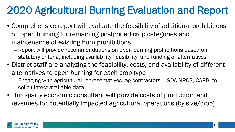# 2020 Agricultural Burning Evaluation and Report

- Comprehensive report will evaluate the feasibility of additional prohibitions on open burning for remaining postponed crop categories and maintenance of existing burn prohibitions
	- Report will provide recommendations on open burning prohibitions based on statutory criteria, including availability, feasibility, and funding of alternatives
- District staff are analyzing the feasibility, costs, and availability of different alternatives to open burning for each crop type
	- Engaging with agricultural representatives, ag contractors, USDA-NRCS, CARB, to solicit latest available data
- Third-party economic consultant will provide costs of production and revenues for potentially impacted agricultural operations (by size/crop)

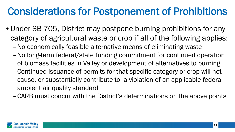#### Considerations for Postponement of Prohibitions

- Under SB 705, District may postpone burning prohibitions for any category of agricultural waste or crop if all of the following applies:
	- –No economically feasible alternative means of eliminating waste
	- –No long-term federal/state funding commitment for continued operation of biomass facilities in Valley or development of alternatives to burning
	- –Continued issuance of permits for that specific category or crop will not cause, or substantially contribute to, a violation of an applicable federal ambient air quality standard
	- –CARB must concur with the District's determinations on the above points

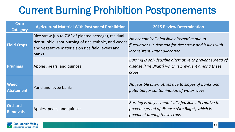# Current Burning Prohibition Postponements

| <b>Crop</b><br><b>Category</b>    | <b>Agricultural Material With Postponed Prohibition</b>                                                                                                                    | <b>2015 Review Determination</b>                                                                                                        |
|-----------------------------------|----------------------------------------------------------------------------------------------------------------------------------------------------------------------------|-----------------------------------------------------------------------------------------------------------------------------------------|
| <b>Field Crops</b>                | Rice straw (up to 70% of planted acreage), residual<br>rice stubble, spot burning of rice stubble, and weeds<br>and vegetative materials on rice field levees and<br>banks | No economically feasible alternative due to<br>fluctuations in demand for rice straw and issues with<br>inconsistent water allocation   |
| <b>Prunings</b>                   | Apples, pears, and quinces                                                                                                                                                 | Burning is only feasible alternative to prevent spread of<br>disease (Fire Blight) which is prevalent among these<br>crops              |
| <b>Weed</b><br><b>Abatement</b>   | Pond and levee banks                                                                                                                                                       | No feasible alternatives due to slopes of banks and<br>potential for contamination of water ways                                        |
| <b>Orchard</b><br><b>Removals</b> | Apples, pears, and quinces                                                                                                                                                 | Burning is only economically feasible alternative to<br>prevent spread of disease (Fire Blight) which is<br>prevalent among these crops |

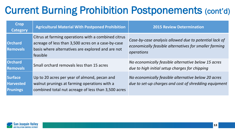# Current Burning Prohibition Postponements (cont'd)

| <b>Crop</b><br><b>Category</b>                        | <b>Agricultural Material With Postponed Prohibition</b>                                                                                                                    | <b>2015 Review Determination</b>                                                                                               |
|-------------------------------------------------------|----------------------------------------------------------------------------------------------------------------------------------------------------------------------------|--------------------------------------------------------------------------------------------------------------------------------|
| <b>Orchard</b><br><b>Removals</b>                     | Citrus at farming operations with a combined citrus<br>acreage of less than 3,500 acres on a case-by-case<br>basis where alternatives are explored and are not<br>feasible | Case-by-case analysis allowed due to potential lack of<br>economically feasible alternatives for smaller farming<br>operations |
| <b>Orchard</b><br><b>Removals</b>                     | Small orchard removals less than 15 acres                                                                                                                                  | No economically feasible alternative below 15 acres<br>due to high initial setup charges for chipping                          |
| <b>Surface</b><br><b>Harvested</b><br><b>Prunings</b> | Up to 20 acres per year of almond, pecan and<br>walnut prunings at farming operations with a<br>combined total nut acreage of less than 3,500 acres                        | No economically feasible alternative below 20 acres<br>due to set-up charges and cost of shredding equipment                   |

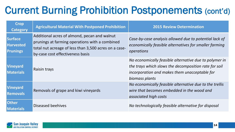# Current Burning Prohibition Postponements (cont'd)

| <b>Crop</b><br><b>Category</b>                        | <b>Agricultural Material With Postponed Prohibition</b>                                                                                                                                     | <b>2015 Review Determination</b>                                                                                                                                                   |
|-------------------------------------------------------|---------------------------------------------------------------------------------------------------------------------------------------------------------------------------------------------|------------------------------------------------------------------------------------------------------------------------------------------------------------------------------------|
| <b>Surface</b><br><b>Harvested</b><br><b>Prunings</b> | Additional acres of almond, pecan and walnut<br>prunings at farming operations with a combined<br>total nut acreage of less than 3,500 acres on a case-<br>by-case cost effectiveness basis | Case-by-case analysis allowed due to potential lack of<br>economically feasible alternatives for smaller farming<br>operations                                                     |
| <b>Vineyard</b><br><b>Materials</b>                   | Raisin trays                                                                                                                                                                                | No economically feasible alternative due to polymer in<br>the trays which slows the decomposition rate for soil<br>incorporation and makes them unacceptable for<br>biomass plants |
| <b>Vineyard</b><br><b>Removals</b>                    | Removals of grape and kiwi vineyards                                                                                                                                                        | No economically feasible alternative due to the trellis<br>wire that becomes embedded in the wood and<br>associated high costs                                                     |
| <b>Other</b><br><b>Materials</b>                      | Diseased beehives                                                                                                                                                                           | No technologically feasible alternative for disposal                                                                                                                               |

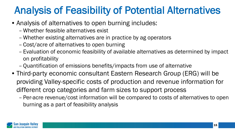## Analysis of Feasibility of Potential Alternatives

- Analysis of alternatives to open burning includes:
	- Whether feasible alternatives exist
	- Whether existing alternatives are in practice by ag operators
	- Cost/acre of alternatives to open burning
	- Evaluation of economic feasibility of available alternatives as determined by impact on profitability
	- Quantification of emissions benefits/impacts from use of alternative
- Third-party economic consultant Eastern Research Group (ERG) will be providing Valley-specific costs of production and revenue information for different crop categories and farm sizes to support process
	- Per-acre revenue/cost information will be compared to costs of alternatives to open burning as a part of feasibility analysis

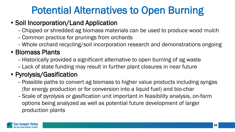#### Potential Alternatives to Open Burning

#### • Soil Incorporation/Land Application

- Chipped or shredded ag biomass materials can be used to produce wood mulch
- Common practice for prunings from orchards
- Whole orchard recycling/soil incorporation research and demonstrations ongoing

#### • Biomass Plants

- Historically provided a significant alternative to open burning of ag waste
- Lack of state funding may result in further plant closures in near future

#### • Pyrolysis/Gasification

- Possible paths to convert ag biomass to higher value products including syngas (for energy production or for conversion into a liquid fuel) and bio-char
- Scale of pyrolysis or gasification unit important in feasibility analysis, on-farm options being analyzed as well as potential future development of larger production plants

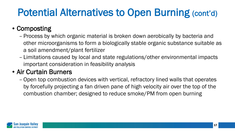# Potential Alternatives to Open Burning (cont'd)

#### • Composting

- Process by which organic material is broken down aerobically by bacteria and other microorganisms to form a biologically stable organic substance suitable as a soil amendment/plant fertilizer
- Limitations caused by local and state regulations/other environmental impacts important consideration in feasibility analysis

#### • Air Curtain Burners

– Open top combustion devices with vertical, refractory lined walls that operates by forcefully projecting a fan driven pane of high velocity air over the top of the combustion chamber; designed to reduce smoke/PM from open burning

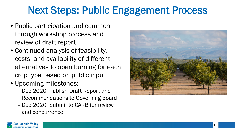### Next Steps: Public Engagement Process

- Public participation and comment through workshop process and review of draft report
- Continued analysis of feasibility, costs, and availability of different alternatives to open burning for each crop type based on public input
- Upcoming milestones:
	- Dec 2020: Publish Draft Report and Recommendations to Governing Board
	- Dec 2020: Submit to CARB for review and concurrence



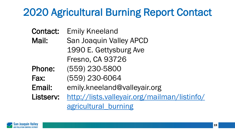# 2020 Agricultural Burning Report Contact

- Contact: Emily Kneeland
- Mail: San Joaquin Valley APCD 1990 E. Gettysburg Ave Fresno, CA 93726
- Phone: (559) 230-5800
- Fax: (559) 230-6064
- Email: emily.kneeland@valleyair.org

Listserv: [http://lists.valleyair.org/mailman/listinfo/](http://lists.valleyair.org/mailman/listinfo/agricultural_burning) [agricultural\\_burning](http://lists.valleyair.org/mailman/listinfo/agricultural_burning)